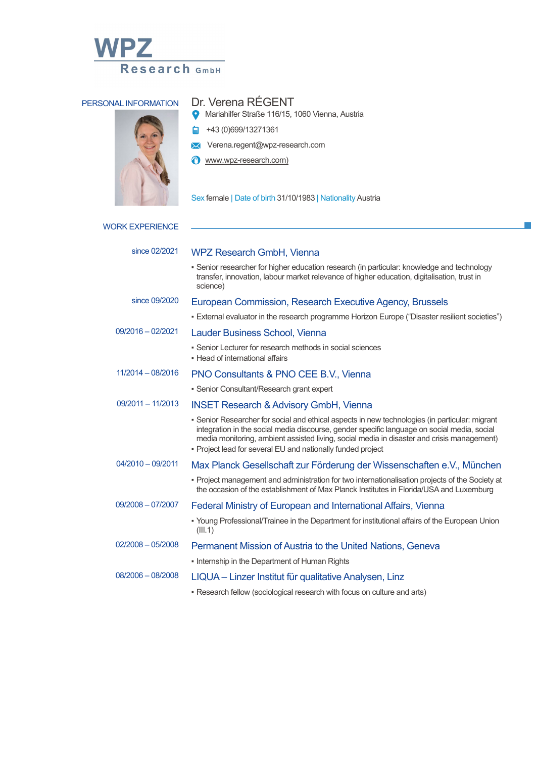



## PERSONAL INFORMATION Dr. Verena RÉGENT

- Mariahilfer Straße 116/15, 1060 Vienna, Austria
- $\frac{1}{4}$  +43 (0)699/13271361
- Verena.regent@wpz-research.com
- **T** www.wpz-research.com)

Sex female | Date of birth 31/10/1983 | Nationality Austria

| <b>WORK EXPERIENCE</b> |
|------------------------|
|                        |

| since 02/2021       | <b>WPZ Research GmbH, Vienna</b>                                                                                                                                                                                                                                                                                                                           |
|---------------------|------------------------------------------------------------------------------------------------------------------------------------------------------------------------------------------------------------------------------------------------------------------------------------------------------------------------------------------------------------|
|                     | • Senior researcher for higher education research (in particular: knowledge and technology<br>transfer, innovation, labour market relevance of higher education, digitalisation, trust in<br>science)                                                                                                                                                      |
| since 09/2020       | European Commission, Research Executive Agency, Brussels                                                                                                                                                                                                                                                                                                   |
|                     | • External evaluator in the research programme Horizon Europe ("Disaster resilient societies")                                                                                                                                                                                                                                                             |
| $09/2016 - 02/2021$ | <b>Lauder Business School, Vienna</b>                                                                                                                                                                                                                                                                                                                      |
|                     | • Senior Lecturer for research methods in social sciences<br>• Head of international affairs                                                                                                                                                                                                                                                               |
| $11/2014 - 08/2016$ | PNO Consultants & PNO CEE B.V., Vienna                                                                                                                                                                                                                                                                                                                     |
|                     | • Senior Consultant/Research grant expert                                                                                                                                                                                                                                                                                                                  |
| $09/2011 - 11/2013$ | <b>INSET Research &amp; Advisory GmbH, Vienna</b>                                                                                                                                                                                                                                                                                                          |
|                     | • Senior Researcher for social and ethical aspects in new technologies (in particular: migrant<br>integration in the social media discourse, gender specific language on social media, social<br>media monitoring, ambient assisted living, social media in disaster and crisis management)<br>- Project lead for several EU and nationally funded project |
| $04/2010 - 09/2011$ | Max Planck Gesellschaft zur Förderung der Wissenschaften e.V., München                                                                                                                                                                                                                                                                                     |
|                     | • Project management and administration for two internationalisation projects of the Society at<br>the occasion of the establishment of Max Planck Institutes in Florida/USA and Luxemburg                                                                                                                                                                 |
| $09/2008 - 07/2007$ | Federal Ministry of European and International Affairs, Vienna                                                                                                                                                                                                                                                                                             |
|                     | • Young Professional/Trainee in the Department for institutional affairs of the European Union<br>(III.1)                                                                                                                                                                                                                                                  |
| $02/2008 - 05/2008$ | Permanent Mission of Austria to the United Nations, Geneva                                                                                                                                                                                                                                                                                                 |
|                     | • Internship in the Department of Human Rights                                                                                                                                                                                                                                                                                                             |
| $08/2006 - 08/2008$ | LIQUA – Linzer Institut für qualitative Analysen, Linz                                                                                                                                                                                                                                                                                                     |
|                     |                                                                                                                                                                                                                                                                                                                                                            |

. Research fellow (sociological research with focus on culture and arts)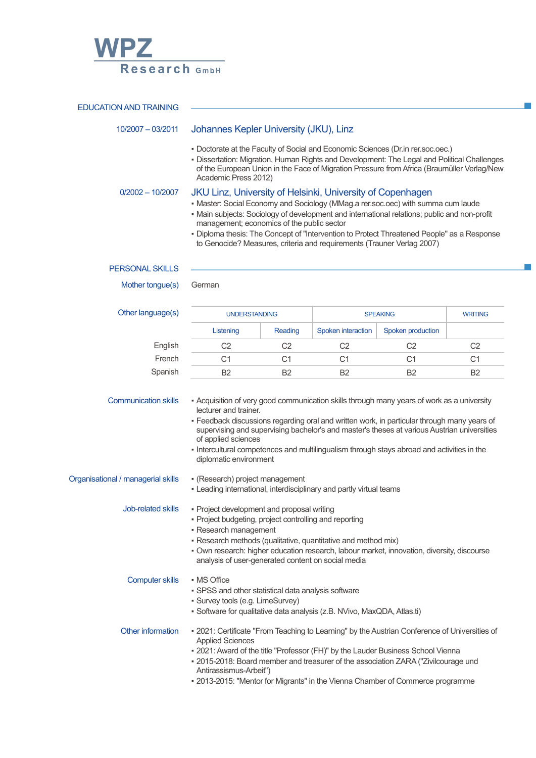

| <b>EDUCATION AND TRAINING</b>      |                                                                                                                                                                                                                                                                                                                                                                                                                                                                  |                |                    |                   |                |  |  |
|------------------------------------|------------------------------------------------------------------------------------------------------------------------------------------------------------------------------------------------------------------------------------------------------------------------------------------------------------------------------------------------------------------------------------------------------------------------------------------------------------------|----------------|--------------------|-------------------|----------------|--|--|
|                                    |                                                                                                                                                                                                                                                                                                                                                                                                                                                                  |                |                    |                   |                |  |  |
| 10/2007 - 03/2011                  | Johannes Kepler University (JKU), Linz                                                                                                                                                                                                                                                                                                                                                                                                                           |                |                    |                   |                |  |  |
|                                    | . Doctorate at the Faculty of Social and Economic Sciences (Dr.in rer.soc.oec.)<br>· Dissertation: Migration, Human Rights and Development: The Legal and Political Challenges<br>of the European Union in the Face of Migration Pressure from Africa (Braumüller Verlag/New<br>Academic Press 2012)                                                                                                                                                             |                |                    |                   |                |  |  |
| $0/2002 - 10/2007$                 | JKU Linz, University of Helsinki, University of Copenhagen                                                                                                                                                                                                                                                                                                                                                                                                       |                |                    |                   |                |  |  |
|                                    | • Master: Social Economy and Sociology (MMag.a rer.soc.oec) with summa cum laude<br>· Main subjects: Sociology of development and international relations; public and non-profit<br>management; economics of the public sector<br>· Diploma thesis: The Concept of "Intervention to Protect Threatened People" as a Response<br>to Genocide? Measures, criteria and requirements (Trauner Verlag 2007)                                                           |                |                    |                   |                |  |  |
| <b>PERSONAL SKILLS</b>             |                                                                                                                                                                                                                                                                                                                                                                                                                                                                  |                |                    |                   |                |  |  |
| Mother tongue(s)                   | German                                                                                                                                                                                                                                                                                                                                                                                                                                                           |                |                    |                   |                |  |  |
| Other language(s)                  | <b>UNDERSTANDING</b>                                                                                                                                                                                                                                                                                                                                                                                                                                             |                | <b>SPEAKING</b>    |                   | <b>WRITING</b> |  |  |
|                                    | Listening                                                                                                                                                                                                                                                                                                                                                                                                                                                        | Reading        | Spoken interaction | Spoken production |                |  |  |
| English                            | C <sub>2</sub>                                                                                                                                                                                                                                                                                                                                                                                                                                                   | C <sub>2</sub> | C <sub>2</sub>     | C <sub>2</sub>    | C <sub>2</sub> |  |  |
| French                             | C <sub>1</sub>                                                                                                                                                                                                                                                                                                                                                                                                                                                   | C <sub>1</sub> | C <sub>1</sub>     | C <sub>1</sub>    | C <sub>1</sub> |  |  |
| Spanish                            | B <sub>2</sub>                                                                                                                                                                                                                                                                                                                                                                                                                                                   | <b>B2</b>      | B <sub>2</sub>     | B <sub>2</sub>    | B <sub>2</sub> |  |  |
|                                    | - Acquisition of very good communication skills through many years of work as a university<br>lecturer and trainer.<br>- Feedback discussions regarding oral and written work, in particular through many years of<br>supervising and supervising bachelor's and master's theses at various Austrian universities<br>of applied sciences<br>- Intercultural competences and multilingualism through stays abroad and activities in the<br>diplomatic environment |                |                    |                   |                |  |  |
| Organisational / managerial skills | • (Research) project management<br>- Leading international, interdisciplinary and partly virtual teams                                                                                                                                                                                                                                                                                                                                                           |                |                    |                   |                |  |  |
| Job-related skills                 | • Project development and proposal writing<br>• Project budgeting, project controlling and reporting<br>• Research management<br>- Research methods (qualitative, quantitative and method mix)<br>. Own research: higher education research, labour market, innovation, diversity, discourse<br>analysis of user-generated content on social media                                                                                                               |                |                    |                   |                |  |  |
| <b>Computer skills</b>             | • MS Office<br>· SPSS and other statistical data analysis software<br>· Survey tools (e.g. LimeSurvey)<br>• Software for qualitative data analysis (z.B. NVivo, MaxQDA, Atlas.ti)                                                                                                                                                                                                                                                                                |                |                    |                   |                |  |  |
| Other information                  | - 2021: Certificate "From Teaching to Learning" by the Austrian Conference of Universities of<br><b>Applied Sciences</b><br>. 2021: Award of the title "Professor (FH)" by the Lauder Business School Vienna<br>- 2015-2018: Board member and treasurer of the association ZARA ("Zivilcourage und<br>Antirassismus-Arbeit")<br>. 2013-2015: "Mentor for Migrants" in the Vienna Chamber of Commerce programme                                                   |                |                    |                   |                |  |  |

×

**T**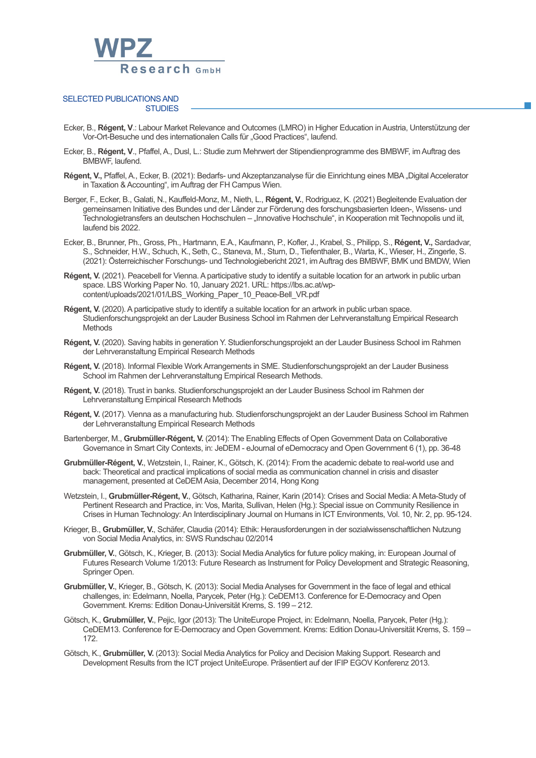

## SELECTED PUBLICATIONS AND **STUDIES**

- Ecker, B., **Régent, V**.: Labour Market Relevance and Outcomes (LMRO) in Higher Education in Austria, Unterstützung der Vor-Ort-Besuche und des internationalen Calls für "Good Practices", laufend.
- Ecker, B., **Régent, V**., Pfaffel, A., Dusl, L.: Studie zum Mehrwert der Stipendienprogramme des BMBWF, im Auftrag des BMBWF, laufend.
- Régent, V., Pfaffel, A., Ecker, B. (2021): Bedarfs- und Akzeptanzanalyse für die Einrichtung eines MBA "Digital Accelerator in Taxation & Accounting", im Auftrag der FH Campus Wien.
- Berger, F., Ecker, B., Galati, N., Kauffeld-Monz, M., Nieth, L., **Régent, V.**, Rodriguez, K. (2021) Begleitende Evaluation der gemeinsamen Initiative des Bundes und der Länder zur Förderung des forschungsbasierten Ideen-, Wissens- und Technologietransfers an deutschen Hochschulen – "Innovative Hochschule", in Kooperation mit Technopolis und iit, laufend bis 2022.
- Ecker, B., Brunner, Ph., Gross, Ph., Hartmann, E.A., Kaufmann, P., Kofler, J., Krabel, S., Philipp, S., **Régent, V.,** Sardadvar, S., Schneider, H.W., Schuch, K.,Seth, C., Staneva, M., Sturn, D., Tiefenthaler, B., Warta, K., Wieser, H., Zingerle, S. (2021): Österreichischer Forschungs- und Technologiebericht 2021, im Auftrag des BMBWF, BMK und BMDW, Wien
- **Régent, V.** (2021). Peacebell for Vienna. A participative study to identify a suitable location for an artwork in public urban space. LBS Working Paper No. 10, January 2021. URL: https://lbs.ac.at/wpcontent/uploads/2021/01/LBS\_Working\_Paper\_10\_Peace-Bell\_VR.pdf
- **Régent, V.** (2020). A participative study to identify a suitable location for an artwork in public urban space. Studienforschungsprojekt an der Lauder Business School im Rahmen der Lehrveranstaltung Empirical Research Methods
- **Régent, V.** (2020). Saving habits in generation Y. Studienforschungsprojekt an der Lauder Business School im Rahmen der Lehrveranstaltung Empirical Research Methods
- **Régent, V.** (2018). Informal Flexible WorkArrangements in SME. Studienforschungsprojekt an der Lauder Business School im Rahmen der Lehrveranstaltung Empirical Research Methods.
- **Régent, V.** (2018). Trust in banks. Studienforschungsprojekt an der Lauder Business School im Rahmen der Lehrveranstaltung Empirical Research Methods
- **Régent, V.** (2017). Vienna as a manufacturing hub. Studienforschungsprojekt an der Lauder Business School im Rahmen der Lehrveranstaltung Empirical Research Methods
- Bartenberger, M., **Grubmüller-Régent, V.** (2014): The Enabling Effects of Open Government Data on Collaborative Governance in Smart City Contexts, in: JeDEM - eJournal of eDemocracy and Open Government 6 (1), pp. 36-48
- **Grubmüller-Régent, V.**, Wetzstein, I., Rainer, K., Götsch, K. (2014): From the academic debate to real-world use and back: Theoretical and practical implications of social media as communication channel in crisis and disaster management, presented at CeDEM Asia, December 2014, Hong Kong
- Wetzstein, I., **Grubmüller-Régent, V.**, Götsch, Katharina, Rainer, Karin (2014): Crises and Social Media: A Meta-Study of Pertinent Research and Practice, in: Vos, Marita, Sullivan, Helen (Hg.): Special issue on Community Resilience in Crises in Human Technology: An Interdisciplinary Journal on Humans in ICT Environments, Vol. 10, Nr. 2, pp. 95-124.
- Krieger, B., **Grubmüller, V.**, Schäfer, Claudia (2014): Ethik: Herausforderungen in der sozialwissenschaftlichen Nutzung von Social Media Analytics, in: SWS Rundschau 02/2014
- **Grubmüller, V.**, Götsch, K., Krieger, B. (2013): Social Media Analytics for future policy making, in: European Journal of Futures Research Volume 1/2013: Future Research as Instrument for Policy Development and Strategic Reasoning, Springer Open.
- **Grubmüller, V.**, Krieger, B., Götsch, K. (2013): Social Media Analyses for Government in the face of legal and ethical challenges, in: Edelmann, Noella, Parycek, Peter (Hg.): CeDEM13. Conference for E-Democracy and Open Government. Krems: Edition Donau-Universität Krems, S. 199 – 212.
- Götsch, K., **Grubmüller, V.**, Pejic, Igor (2013): The UniteEurope Project, in: Edelmann, Noella, Parycek, Peter (Hg.): CeDEM13. Conference for E-Democracy and Open Government. Krems: Edition Donau-Universität Krems, S. 159 – 172.
- Götsch, K., **Grubmüller, V.** (2013): Social Media Analytics for Policy and Decision Making Support. Research and Development Results from the ICT project UniteEurope. Präsentiert auf der IFIP EGOV Konferenz 2013.